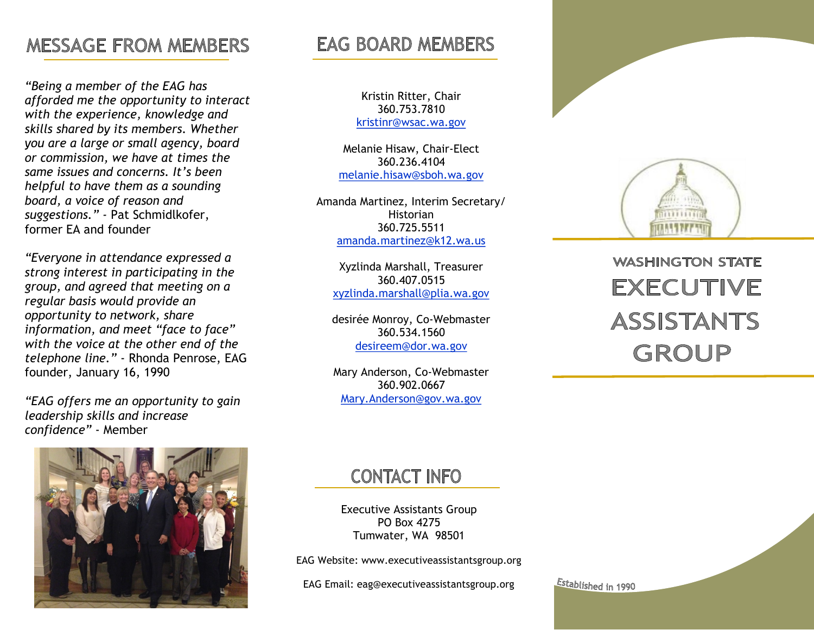# **MESSAGE FROM MEMBERS**

*"Being a member of the EAG has afforded me the opportunity to interact with the experience, knowledge and skills shared by its members. Whether you are a large or small agency, board or commission, we have at times the same issues and concerns. It's been helpful to have them as a sounding board, a voice of reason and suggestions." -* Pat Schmidlkofer, former EA and founder

*"Everyone in attendance expressed a strong interest in participating in the group, and agreed that meeting on a regular basis would provide an opportunity to network, share information, and meet "face to face" with the voice at the other end of the telephone line."* - Rhonda Penrose, EAG founder, January 16, 1990

*"EAG offers me an opportunity to gain leadership skills and increase confidence"* - Member

# **EAG BOARD MEMBERS**

Kristin Ritter, Chair 360.753.7810 kristinr@wsac.wa.gov

Melanie Hisaw, Chair-Elect 360.236.4104 melanie.hisaw@sboh.wa.gov

Amanda Martinez, Interim Secretary/ Historian 360.725.5511 [amanda.martinez@k12.wa.us](mailto:Paulette.yorke@eluho.wa.gov) 

> Xyzlinda Marshall, Treasurer 360.407.0515 xyzlinda.marshall@plia.wa.gov

desirée Monroy, Co-Webmaster 360.534.1560 desireem@dor.wa.gov

Mary Anderson, Co-Webmaster 360.902.0667 Mary.Anderson@gov.wa.gov



**WASHINGTON STATE EXECUTIVE ASSISTANTS** GROUP



# **CONTACT INFO**

Executive Assistants Group PO Box 4275 Tumwater, WA 98501

EAG Website: www.executiveassistantsgroup.org

EAG Email: eag@executiveassistantsgroup.org

Established in 1990